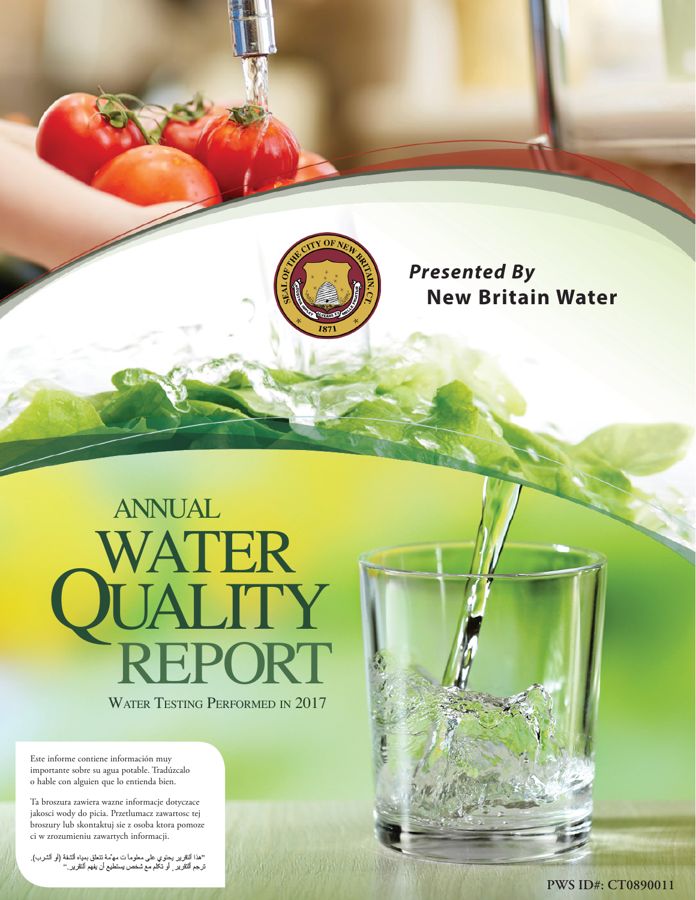

# *Presented By*  **New Britain Water**

# WATER TESTING PERFORMED IN 2017 WATER UALITY<br>REPORT annual

Este informe contiene información muy importante sobre su agua potable. Tradúzcalo o hable con alguien que lo entienda bien.

Ta broszura zawiera wazne informacje dotyczace jakosci wody do picia. Przetlumacz zawartosc tej broszury lub skontaktuj sie z osoba ktora pomoze ci w zrozumieniu zawartych informacji.

''هذا النقرير يحتوي على معلوماً ت مهمّه تتعلّق بمداه الشفة (او الشرب).<br>ترجع النقرير <sub>,</sub> او تكلّم مع شخص يستطيع أن يفهم النقرير.''

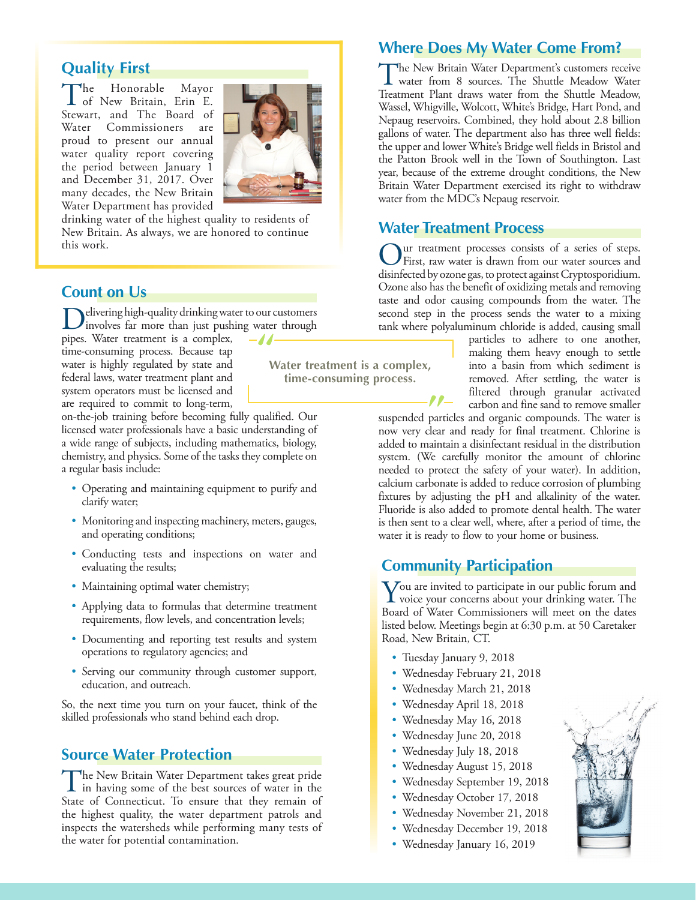# **Quality First**

The Honorable Mayor of New Britain, Erin E. Stewart, and The Board of Water Commissioners are proud to present our annual water quality report covering the period between January 1 and December 31, 2017. Over many decades, the New Britain Water Department has provided



**Water treatment is a complex, time-consuming process.**

drinking water of the highest quality to residents of New Britain. As always, we are honored to continue this work.

#### **Count on Us**

elivering high-quality drinking water to our customers involves far more than just pushing water through

pipes. Water treatment is a complex, time-consuming process. Because tap water is highly regulated by state and federal laws, water treatment plant and system operators must be licensed and are required to commit to long-term,

on-the-job training before becoming fully qualified. Our licensed water professionals have a basic understanding of a wide range of subjects, including mathematics, biology, chemistry, and physics. Some of the tasks they complete on a regular basis include:

- Operating and maintaining equipment to purify and clarify water;
- Monitoring and inspecting machinery, meters, gauges, and operating conditions;
- Conducting tests and inspections on water and evaluating the results;
- Maintaining optimal water chemistry;
- Applying data to formulas that determine treatment requirements, flow levels, and concentration levels;
- Documenting and reporting test results and system operations to regulatory agencies; and
- Serving our community through customer support, education, and outreach.

So, the next time you turn on your faucet, think of the skilled professionals who stand behind each drop.

#### **Source Water Protection**

The New Britain Water Department takes great pride<br>in having some of the best sources of water in the<br>State of Connecticut Te answer that they appear of State of Connecticut. To ensure that they remain of the highest quality, the water department patrols and inspects the watersheds while performing many tests of the water for potential contamination.

#### **Where Does My Water Come From?**

The New Britain Water Department's customers receive water from 8 sources. The Shuttle Meadow Water Treatment Plant draws water from the Shuttle Meadow, Wassel, Whigville, Wolcott, White's Bridge, Hart Pond, and Nepaug reservoirs. Combined, they hold about 2.8 billion gallons of water. The department also has three well fields: the upper and lower White's Bridge well fields in Bristol and the Patton Brook well in the Town of Southington. Last year, because of the extreme drought conditions, the New Britain Water Department exercised its right to withdraw water from the MDC's Nepaug reservoir.

#### **Water Treatment Process**

Our treatment processes consists of a series of steps.<br>First, raw water is drawn from our water sources and disinfected by ozone gas, to protect against Cryptosporidium. Ozone also has the benefit of oxidizing metals and removing taste and odor causing compounds from the water. The second step in the process sends the water to a mixing tank where polyaluminum chloride is added, causing small

> particles to adhere to one another, making them heavy enough to settle into a basin from which sediment is removed. After settling, the water is filtered through granular activated carbon and fine sand to remove smaller

suspended particles and organic compounds. The water is now very clear and ready for final treatment. Chlorine is added to maintain a disinfectant residual in the distribution system. (We carefully monitor the amount of chlorine needed to protect the safety of your water). In addition, calcium carbonate is added to reduce corrosion of plumbing fixtures by adjusting the pH and alkalinity of the water. Fluoride is also added to promote dental health. The water is then sent to a clear well, where, after a period of time, the water it is ready to flow to your home or business.

#### **Community Participation**

**Y**ou are invited to participate in our public forum and<br>voice your concerns about your drinking water. The<br>Recal of Water Commissioners will meet an the data Board of Water Commissioners will meet on the dates listed below. Meetings begin at 6:30 p.m. at 50 Caretaker Road, New Britain, CT.

- Tuesday January 9, 2018
- Wednesday February 21, 2018
- Wednesday March 21, 2018
- Wednesday April 18, 2018
- Wednesday May 16, 2018
- Wednesday June 20, 2018
- Wednesday July 18, 2018
- Wednesday August 15, 2018
- Wednesday September 19, 2018
- Wednesday October 17, 2018
- Wednesday November 21, 2018
- Wednesday December 19, 2018
- Wednesday January 16, 2019

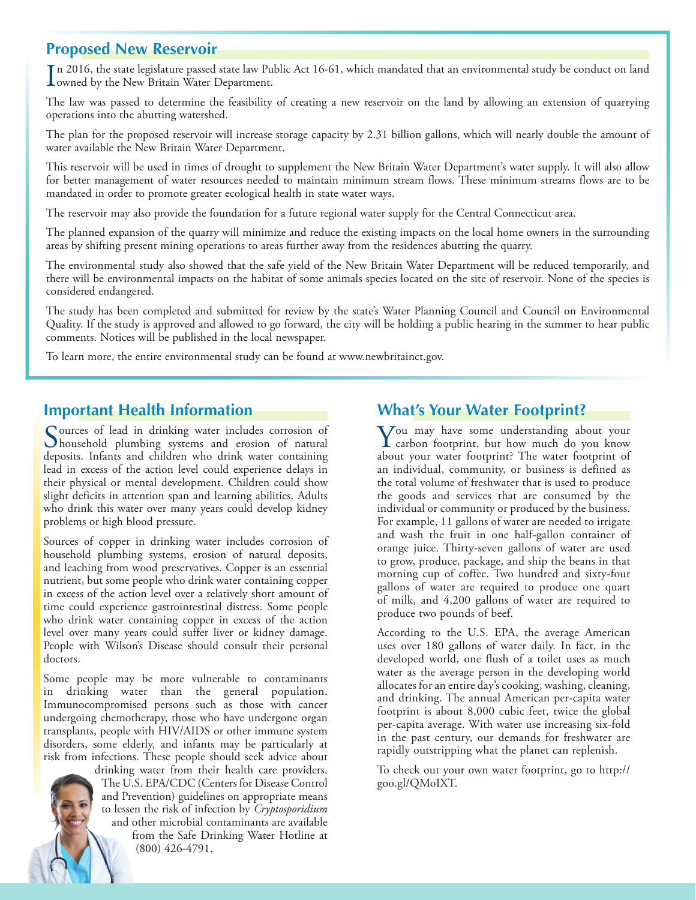#### **Proposed New Reservoir**

In 2016, the state legislature passed state law Public Act 16-61, which mandated that an environmental study be conduct on land owned by the New Britain Water Department. owned by the New Britain Water Department.

The law was passed to determine the feasibility of creating a new reservoir on the land by allowing an extension of quarrying operations into the abutting watershed.

The plan for the proposed reservoir will increase storage capacity by 2.31 billion gallons, which will nearly double the amount of water available the New Britain Water Department.

This reservoir will be used in times of drought to supplement the New Britain Water Department's water supply. It will also allow for better management of water resources needed to maintain minimum stream flows. These minimum streams flows are to be mandated in order to promote greater ecological health in state water ways.

The reservoir may also provide the foundation for a future regional water supply for the Central Connecticut area.

The planned expansion of the quarry will minimize and reduce the existing impacts on the local home owners in the surrounding areas by shifting present mining operations to areas further away from the residences abutting the quarry.

The environmental study also showed that the safe yield of the New Britain Water Department will be reduced temporarily, and there will be environmental impacts on the habitat of some animals species located on the site of reservoir. None of the species is considered endangered.

The study has been completed and submitted for review by the state's Water Planning Council and Council on Environmental Quality. If the study is approved and allowed to go forward, the city will be holding a public hearing in the summer to hear public comments. Notices will be published in the local newspaper.

To learn more, the entire environmental study can be found at [www.newbritainct.gov](http://www.newbritainct.gov).

#### **Important Health Information**

Sources of lead in drinking water includes corrosion of<br>household plumbing systems and erosion of natural deposits. Infants and children who drink water containing lead in excess of the action level could experience delays in their physical or mental development. Children could show slight deficits in attention span and learning abilities. Adults who drink this water over many years could develop kidney problems or high blood pressure.

Sources of copper in drinking water includes corrosion of household plumbing systems, erosion of natural deposits, and leaching from wood preservatives. Copper is an essential nutrient, but some people who drink water containing copper in excess of the action level over a relatively short amount of time could experience gastrointestinal distress. Some people who drink water containing copper in excess of the action level over many years could suffer liver or kidney damage. People with Wilson's Disease should consult their personal doctors.

Some people may be more vulnerable to contaminants in drinking water than the general population. Immunocompromised persons such as those with cancer undergoing chemotherapy, those who have undergone organ transplants, people with HIV/AIDS or other immune system disorders, some elderly, and infants may be particularly at risk from infections. These people should seek advice about

drinking water from their health care providers. The U.S. EPA/CDC (Centers for Disease Control and Prevention) guidelines on appropriate means to lessen the risk of infection by *Cryptosporidium* and other microbial contaminants are available from the Safe Drinking Water Hotline at (800) 426-4791.

#### **What's Your Water Footprint?**

You may have some understanding about your carbon footprint, but how much do you know about your water footprint? The water footprint of an individual, community, or business is defined as the total volume of freshwater that is used to produce the goods and services that are consumed by the individual or community or produced by the business. For example, 11 gallons of water are needed to irrigate and wash the fruit in one half-gallon container of orange juice. Thirty-seven gallons of water are used to grow, produce, package, and ship the beans in that morning cup of coffee. Two hundred and sixty-four gallons of water are required to produce one quart of milk, and 4,200 gallons of water are required to produce two pounds of beef.

According to the U.S. EPA, the average American uses over 180 gallons of water daily. In fact, in the developed world, one flush of a toilet uses as much water as the average person in the developing world allocates for an entire day's cooking, washing, cleaning, and drinking. The annual American per-capita water footprint is about 8,000 cubic feet, twice the global per-capita average. With water use increasing six-fold in the past century, our demands for freshwater are rapidly outstripping what the planet can replenish.

To check out your own water footprint, go to [http://](http://goo.gl/QMoIXT) [goo.gl/QMoIXT](http://goo.gl/QMoIXT).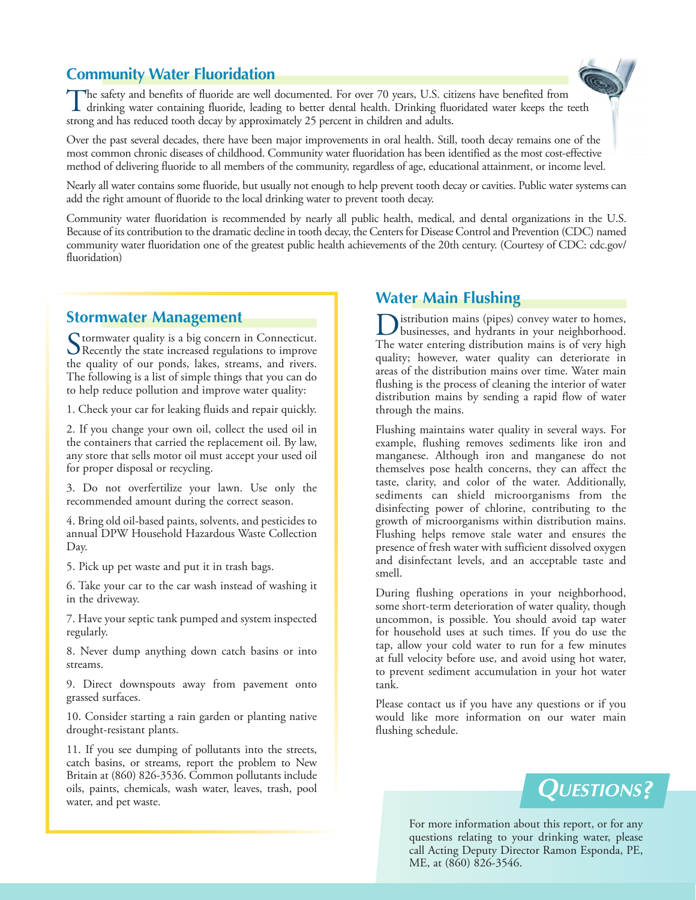## **Community Water Fluoridation**



The safety and benefits of fluoride are well documented. For over 70 years, U.S. citizens have benefited from drinking water containing fluoride, leading to better dental health. Drinking fluoridated water keeps the teeth strong and has reduced tooth decay by approximately 25 percent in children and adults.

Over the past several decades, there have been major improvements in oral health. Still, tooth decay remains one of the most common chronic diseases of childhood. Community water fluoridation has been identified as the most cost-effective method of delivering fluoride to all members of the community, regardless of age, educational attainment, or income level.

Nearly all water contains some fluoride, but usually not enough to help prevent tooth decay or cavities. Public water systems can add the right amount of fluoride to the local drinking water to prevent tooth decay.

Community water fluoridation is recommended by nearly all public health, medical, and dental organizations in the U.S. Because of its contribution to the dramatic decline in tooth decay, the Centers for Disease Control and Prevention (CDC) named community water fluoridation one of the greatest public health achievements of the 20th century. (Courtesy of CDC: [cdc.gov/](http://cdc.gov/fluoridation) [fluoridation](http://cdc.gov/fluoridation))

#### **Stormwater Management**

Stormwater quality is a big concern in Connecticut.<br>Recently the state increased regulations to improve the quality of our ponds, lakes, streams, and rivers. The following is a list of simple things that you can do to help reduce pollution and improve water quality:

1. Check your car for leaking fluids and repair quickly.

2. If you change your own oil, collect the used oil in the containers that carried the replacement oil. By law, any store that sells motor oil must accept your used oil for proper disposal or recycling.

3. Do not overfertilize your lawn. Use only the recommended amount during the correct season.

4. Bring old oil-based paints, solvents, and pesticides to annual DPW Household Hazardous Waste Collection Day.

5. Pick up pet waste and put it in trash bags.

6. Take your car to the car wash instead of washing it in the driveway.

7. Have your septic tank pumped and system inspected regularly.

8. Never dump anything down catch basins or into streams.

9. Direct downspouts away from pavement onto grassed surfaces.

10. Consider starting a rain garden or planting native drought-resistant plants.

11. If you see dumping of pollutants into the streets, catch basins, or streams, report the problem to New Britain at (860) 826-3536. Common pollutants include oils, paints, chemicals, wash water, leaves, trash, pool water, and pet waste.

#### **Water Main Flushing**

Distribution mains (pipes) convey water to homes, businesses, and hydrants in your neighborhood. The water entering distribution mains is of very high quality; however, water quality can deteriorate in areas of the distribution mains over time. Water main flushing is the process of cleaning the interior of water distribution mains by sending a rapid flow of water through the mains.

Flushing maintains water quality in several ways. For example, flushing removes sediments like iron and manganese. Although iron and manganese do not themselves pose health concerns, they can affect the taste, clarity, and color of the water. Additionally, sediments can shield microorganisms from the disinfecting power of chlorine, contributing to the growth of microorganisms within distribution mains. Flushing helps remove stale water and ensures the presence of fresh water with sufficient dissolved oxygen and disinfectant levels, and an acceptable taste and smell.

During flushing operations in your neighborhood, some short-term deterioration of water quality, though uncommon, is possible. You should avoid tap water for household uses at such times. If you do use the tap, allow your cold water to run for a few minutes at full velocity before use, and avoid using hot water, to prevent sediment accumulation in your hot water tank.

Please contact us if you have any questions or if you would like more information on our water main flushing schedule.

# **Questions?**

For more information about this report, or for any questions relating to your drinking water, please call Acting Deputy Director Ramon Esponda, PE, ME, at (860) 826-3546.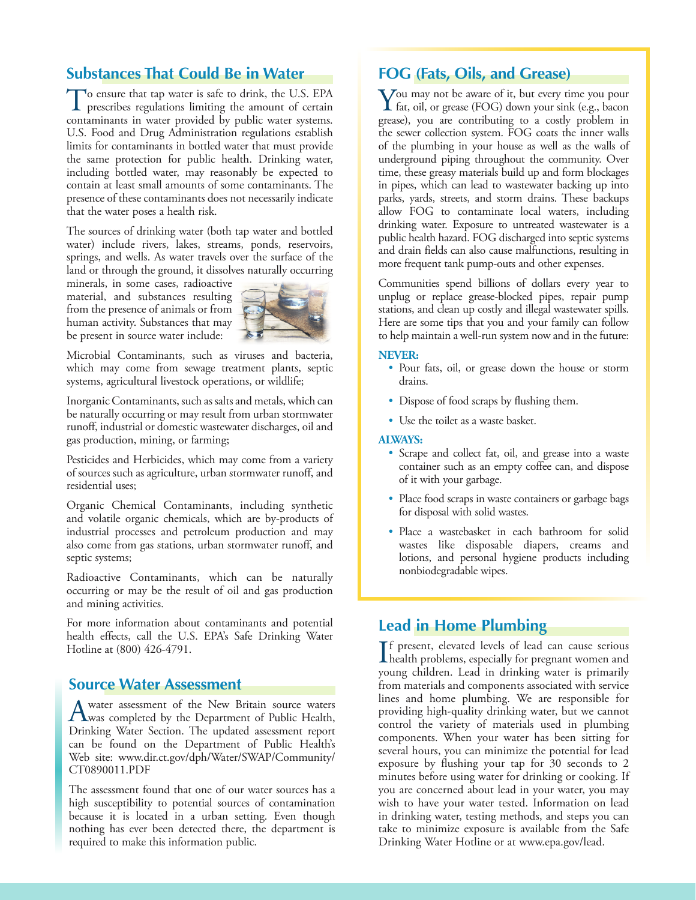#### **Substances That Could Be in Water**

To ensure that tap water is safe to drink, the U.S. EPA prescribes regulations limiting the amount of certain contaminants in water provided by public water systems. U.S. Food and Drug Administration regulations establish limits for contaminants in bottled water that must provide the same protection for public health. Drinking water, including bottled water, may reasonably be expected to contain at least small amounts of some contaminants. The presence of these contaminants does not necessarily indicate that the water poses a health risk.

The sources of drinking water (both tap water and bottled water) include rivers, lakes, streams, ponds, reservoirs, springs, and wells. As water travels over the surface of the land or through the ground, it dissolves naturally occurring

minerals, in some cases, radioactive material, and substances resulting from the presence of animals or from human activity. Substances that may be present in source water include:



Microbial Contaminants, such as viruses and bacteria, which may come from sewage treatment plants, septic systems, agricultural livestock operations, or wildlife;

Inorganic Contaminants, such as salts and metals, which can be naturally occurring or may result from urban stormwater runoff, industrial or domestic wastewater discharges, oil and gas production, mining, or farming;

Pesticides and Herbicides, which may come from a variety of sources such as agriculture, urban stormwater runoff, and residential uses;

Organic Chemical Contaminants, including synthetic and volatile organic chemicals, which are by-products of industrial processes and petroleum production and may also come from gas stations, urban stormwater runoff, and septic systems;

Radioactive Contaminants, which can be naturally occurring or may be the result of oil and gas production and mining activities.

For more information about contaminants and potential health effects, call the U.S. EPA's Safe Drinking Water Hotline at (800) 426-4791.

#### **Source Water Assessment**

A water assessment of the New Britain source waters<br>
was completed by the Department of Public Health,<br>
Driveling Weter Section, The undered assessment agent Drinking Water Section. The updated assessment report can be found on the Department of Public Health's Web site: [www.dir.ct.gov/dph/Water/SWAP/Community/](http://www.dir.ct.gov/dph/Water/SWAP/Community/CT0890011.PDF) [CT0890011.PDF](http://www.dir.ct.gov/dph/Water/SWAP/Community/CT0890011.PDF)

The assessment found that one of our water sources has a high susceptibility to potential sources of contamination because it is located in a urban setting. Even though nothing has ever been detected there, the department is required to make this information public.

#### **FOG (Fats, Oils, and Grease)**

You may not be aware of it, but every time you pour  $\bf{I}$  fat, oil, or grease (FOG) down your sink (e.g., bacon grease), you are contributing to a costly problem in the sewer collection system. FOG coats the inner walls of the plumbing in your house as well as the walls of underground piping throughout the community. Over time, these greasy materials build up and form blockages in pipes, which can lead to wastewater backing up into parks, yards, streets, and storm drains. These backups allow FOG to contaminate local waters, including drinking water. Exposure to untreated wastewater is a public health hazard. FOG discharged into septic systems and drain fields can also cause malfunctions, resulting in more frequent tank pump-outs and other expenses.

Communities spend billions of dollars every year to unplug or replace grease-blocked pipes, repair pump stations, and clean up costly and illegal wastewater spills. Here are some tips that you and your family can follow to help maintain a well-run system now and in the future:

#### **NEVER:**

- Pour fats, oil, or grease down the house or storm drains.
- Dispose of food scraps by flushing them.
- Use the toilet as a waste basket.

#### **ALWAYS:**

- Scrape and collect fat, oil, and grease into a waste container such as an empty coffee can, and dispose of it with your garbage.
- Place food scraps in waste containers or garbage bags for disposal with solid wastes.
- Place a wastebasket in each bathroom for solid wastes like disposable diapers, creams and lotions, and personal hygiene products including nonbiodegradable wipes.

#### **Lead in Home Plumbing**

If present, elevated levels of lead can cause serious<br>health problems, especially for pregnant women and<br>www.preliations. Lead in driving waves is primarily f present, elevated levels of lead can cause serious young children. Lead in drinking water is primarily from materials and components associated with service lines and home plumbing. We are responsible for providing high-quality drinking water, but we cannot control the variety of materials used in plumbing components. When your water has been sitting for several hours, you can minimize the potential for lead exposure by flushing your tap for 30 seconds to 2 minutes before using water for drinking or cooking. If you are concerned about lead in your water, you may wish to have your water tested. Information on lead in drinking water, testing methods, and steps you can take to minimize exposure is available from the Safe Drinking Water Hotline or at [www.epa.gov/lead.](http://www.epa.gov/lead)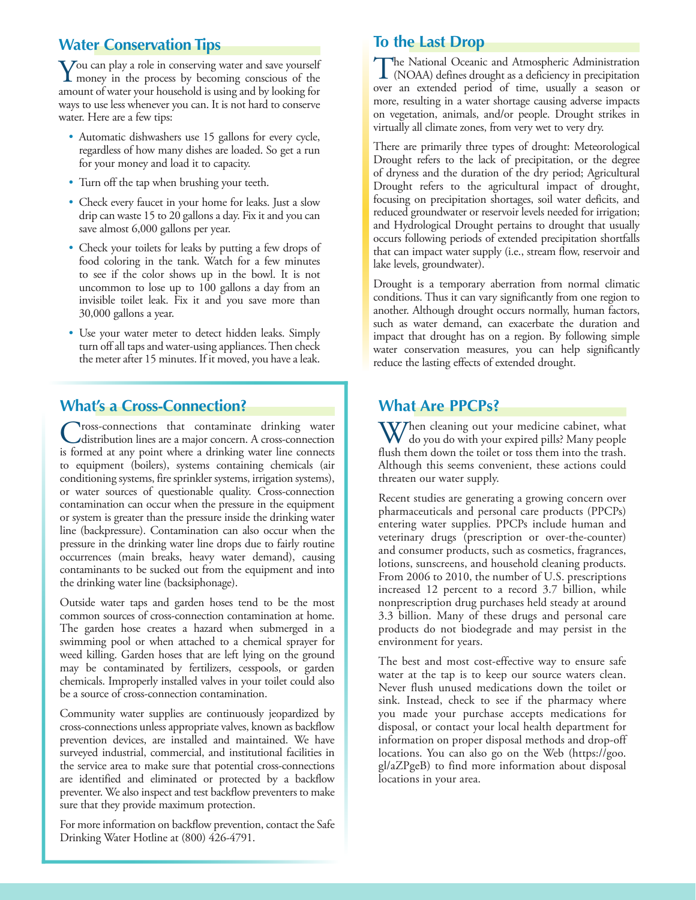#### **Water Conservation Tips**

You can play a role in conserving water and save yourself<br>money in the process by becoming conscious of the<br>money of money is proposed at the probability for amount of water your household is using and by looking for ways to use less whenever you can. It is not hard to conserve water. Here are a few tips:

- Automatic dishwashers use 15 gallons for every cycle, regardless of how many dishes are loaded. So get a run for your money and load it to capacity.
- Turn off the tap when brushing your teeth.
- Check every faucet in your home for leaks. Just a slow drip can waste 15 to 20 gallons a day. Fix it and you can save almost 6,000 gallons per year.
- Check your toilets for leaks by putting a few drops of food coloring in the tank. Watch for a few minutes to see if the color shows up in the bowl. It is not uncommon to lose up to 100 gallons a day from an invisible toilet leak. Fix it and you save more than 30,000 gallons a year.
- Use your water meter to detect hidden leaks. Simply turn off all taps and water-using appliances. Then check the meter after 15 minutes. If it moved, you have a leak.

# **What's a Cross-Connection?**

Tross-connections that contaminate drinking water distribution lines are a major concern. A cross-connection is formed at any point where a drinking water line connects to equipment (boilers), systems containing chemicals (air conditioning systems, fire sprinkler systems, irrigation systems), or water sources of questionable quality. Cross-connection contamination can occur when the pressure in the equipment or system is greater than the pressure inside the drinking water line (backpressure). Contamination can also occur when the pressure in the drinking water line drops due to fairly routine occurrences (main breaks, heavy water demand), causing contaminants to be sucked out from the equipment and into the drinking water line (backsiphonage).

Outside water taps and garden hoses tend to be the most common sources of cross-connection contamination at home. The garden hose creates a hazard when submerged in a swimming pool or when attached to a chemical sprayer for weed killing. Garden hoses that are left lying on the ground may be contaminated by fertilizers, cesspools, or garden chemicals. Improperly installed valves in your toilet could also be a source of cross-connection contamination.

Community water supplies are continuously jeopardized by cross-connections unless appropriate valves, known as backflow prevention devices, are installed and maintained. We have surveyed industrial, commercial, and institutional facilities in the service area to make sure that potential cross-connections are identified and eliminated or protected by a backflow preventer. We also inspect and test backflow preventers to make sure that they provide maximum protection.

For more information on backflow prevention, contact the Safe Drinking Water Hotline at (800) 426-4791.

# **To the Last Drop**

The National Oceanic and Atmospheric Administration<br>(NOAA) defines drought as a deficiency in precipitation over an extended period of time, usually a season or more, resulting in a water shortage causing adverse impacts on vegetation, animals, and/or people. Drought strikes in virtually all climate zones, from very wet to very dry.

There are primarily three types of drought: Meteorological Drought refers to the lack of precipitation, or the degree of dryness and the duration of the dry period; Agricultural Drought refers to the agricultural impact of drought, focusing on precipitation shortages, soil water deficits, and reduced groundwater or reservoir levels needed for irrigation; and Hydrological Drought pertains to drought that usually occurs following periods of extended precipitation shortfalls that can impact water supply (i.e., stream flow, reservoir and lake levels, groundwater).

Drought is a temporary aberration from normal climatic conditions. Thus it can vary significantly from one region to another. Although drought occurs normally, human factors, such as water demand, can exacerbate the duration and impact that drought has on a region. By following simple water conservation measures, you can help significantly reduce the lasting effects of extended drought.

## **What Are PPCPs?**

When cleaning out your medicine cabinet, what do you do with your expired pills? Many people flush them down the toilet or toss them into the trash. Although this seems convenient, these actions could threaten our water supply.

Recent studies are generating a growing concern over pharmaceuticals and personal care products (PPCPs) entering water supplies. PPCPs include human and veterinary drugs (prescription or over-the-counter) and consumer products, such as cosmetics, fragrances, lotions, sunscreens, and household cleaning products. From 2006 to 2010, the number of U.S. prescriptions increased 12 percent to a record 3.7 billion, while nonprescription drug purchases held steady at around 3.3 billion. Many of these drugs and personal care products do not biodegrade and may persist in the environment for years.

The best and most cost-effective way to ensure safe water at the tap is to keep our source waters clean. Never flush unused medications down the toilet or sink. Instead, check to see if the pharmacy where you made your purchase accepts medications for disposal, or contact your local health department for information on proper disposal methods and drop-off locations. You can also go on the Web ([https://goo.](https://goo.gl/aZPgeB) [gl/aZPgeB\)](https://goo.gl/aZPgeB) to find more information about disposal locations in your area.